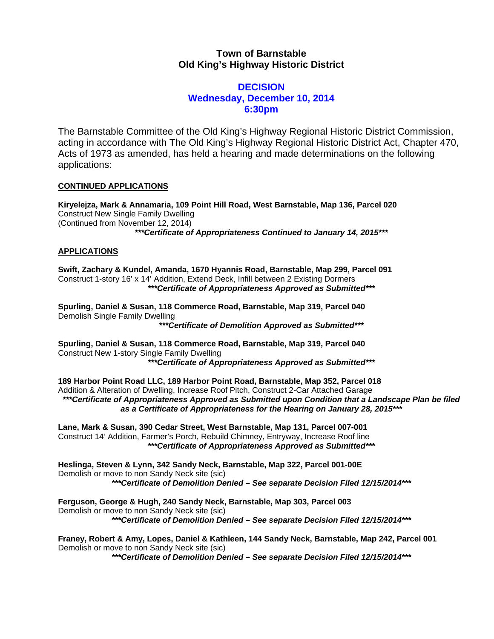## **Town of Barnstable Old King's Highway Historic District**

## **DECISION Wednesday, December 10, 2014 6:30pm**

The Barnstable Committee of the Old King's Highway Regional Historic District Commission, acting in accordance with The Old King's Highway Regional Historic District Act, Chapter 470, Acts of 1973 as amended, has held a hearing and made determinations on the following applications:

## **CONTINUED APPLICATIONS**

**Kiryelejza, Mark & Annamaria, 109 Point Hill Road, West Barnstable, Map 136, Parcel 020**  Construct New Single Family Dwelling (Continued from November 12, 2014) *\*\*\*Certificate of Appropriateness Continued to January 14, 2015\*\*\** 

## **APPLICATIONS**

**Swift, Zachary & Kundel, Amanda, 1670 Hyannis Road, Barnstable, Map 299, Parcel 091**  Construct 1-story 16' x 14' Addition, Extend Deck, Infill between 2 Existing Dormers *\*\*\*Certificate of Appropriateness Approved as Submitted\*\*\** 

**Spurling, Daniel & Susan, 118 Commerce Road, Barnstable, Map 319, Parcel 040**  Demolish Single Family Dwelling *\*\*\*Certificate of Demolition Approved as Submitted\*\*\** 

**Spurling, Daniel & Susan, 118 Commerce Road, Barnstable, Map 319, Parcel 040**  Construct New 1-story Single Family Dwelling *\*\*\*Certificate of Appropriateness Approved as Submitted\*\*\** 

**189 Harbor Point Road LLC, 189 Harbor Point Road, Barnstable, Map 352, Parcel 018**  Addition & Alteration of Dwelling, Increase Roof Pitch, Construct 2-Car Attached Garage *\*\*\*Certificate of Appropriateness Approved as Submitted upon Condition that a Landscape Plan be filed as a Certificate of Appropriateness for the Hearing on January 28, 2015\*\*\** 

**Lane, Mark & Susan, 390 Cedar Street, West Barnstable, Map 131, Parcel 007-001**  Construct 14' Addition, Farmer's Porch, Rebuild Chimney, Entryway, Increase Roof line *\*\*\*Certificate of Appropriateness Approved as Submitted\*\*\** 

**Heslinga, Steven & Lynn, 342 Sandy Neck, Barnstable, Map 322, Parcel 001-00E**  Demolish or move to non Sandy Neck site (sic) *\*\*\*Certificate of Demolition Denied – See separate Decision Filed 12/15/2014\*\*\** 

**Ferguson, George & Hugh, 240 Sandy Neck, Barnstable, Map 303, Parcel 003**  Demolish or move to non Sandy Neck site (sic) *\*\*\*Certificate of Demolition Denied – See separate Decision Filed 12/15/2014\*\*\** 

**Franey, Robert & Amy, Lopes, Daniel & Kathleen, 144 Sandy Neck, Barnstable, Map 242, Parcel 001**  Demolish or move to non Sandy Neck site (sic)

*\*\*\*Certificate of Demolition Denied – See separate Decision Filed 12/15/2014\*\*\**